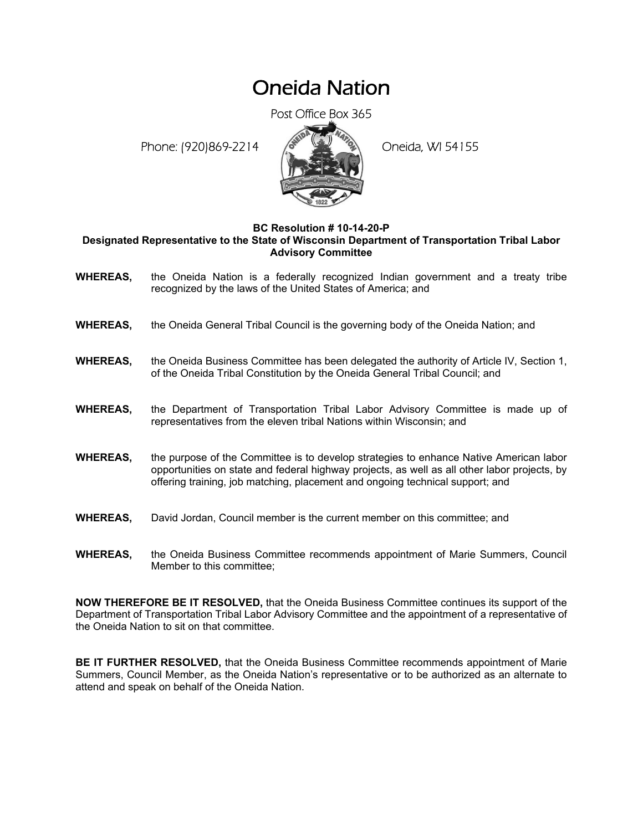## Oneida Nation

Post Office Box 365

Phone: (920)869-2214 (8 April 2) Oneida, WI 54155



## **BC Resolution # 10-14-20-P**

**Designated Representative to the State of Wisconsin Department of Transportation Tribal Labor Advisory Committee** 

- **WHEREAS,** the Oneida Nation is a federally recognized Indian government and a treaty tribe recognized by the laws of the United States of America; and
- **WHEREAS,** the Oneida General Tribal Council is the governing body of the Oneida Nation; and
- **WHEREAS,** the Oneida Business Committee has been delegated the authority of Article IV, Section 1, of the Oneida Tribal Constitution by the Oneida General Tribal Council; and
- **WHEREAS,** the Department of Transportation Tribal Labor Advisory Committee is made up of representatives from the eleven tribal Nations within Wisconsin; and
- **WHEREAS,** the purpose of the Committee is to develop strategies to enhance Native American labor opportunities on state and federal highway projects, as well as all other labor projects, by offering training, job matching, placement and ongoing technical support; and
- **WHEREAS,** David Jordan, Council member is the current member on this committee; and
- **WHEREAS,** the Oneida Business Committee recommends appointment of Marie Summers, Council Member to this committee;

**NOW THEREFORE BE IT RESOLVED,** that the Oneida Business Committee continues its support of the Department of Transportation Tribal Labor Advisory Committee and the appointment of a representative of the Oneida Nation to sit on that committee.

**BE IT FURTHER RESOLVED,** that the Oneida Business Committee recommends appointment of Marie Summers, Council Member, as the Oneida Nation's representative or to be authorized as an alternate to attend and speak on behalf of the Oneida Nation.